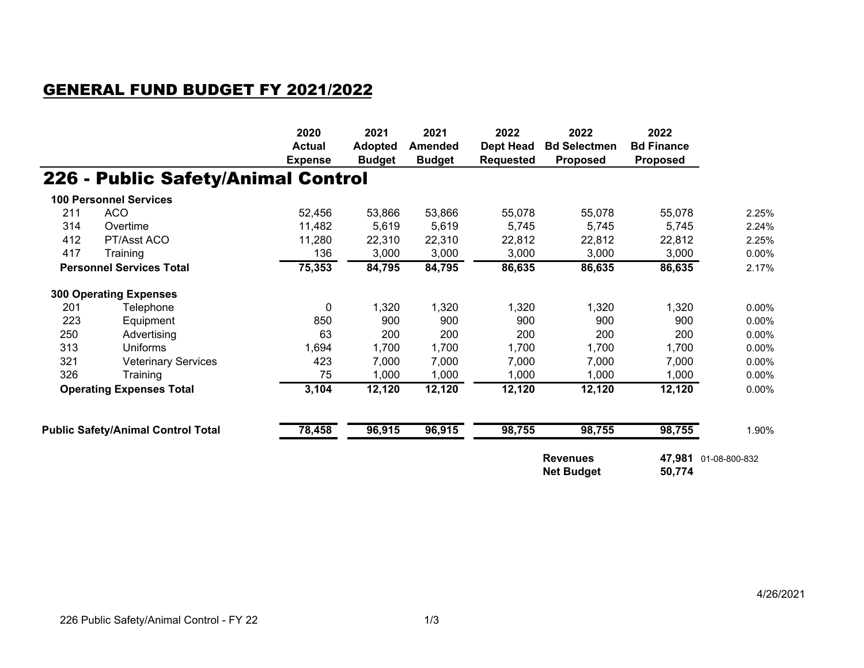## GENERAL FUND BUDGET FY 2021/2022

|                                 |                                           | 2020<br><b>Actual</b> | 2021<br><b>Adopted</b> | 2021<br><b>Amended</b> | 2022<br><b>Dept Head</b>                       | 2022<br><b>Bd Selectmen</b> | 2022<br><b>Bd Finance</b> |       |
|---------------------------------|-------------------------------------------|-----------------------|------------------------|------------------------|------------------------------------------------|-----------------------------|---------------------------|-------|
|                                 |                                           | <b>Expense</b>        | <b>Budget</b>          | <b>Budget</b>          | <b>Requested</b>                               | <b>Proposed</b>             | <b>Proposed</b>           |       |
|                                 | 226 - Public Safety/Animal Control        |                       |                        |                        |                                                |                             |                           |       |
|                                 | <b>100 Personnel Services</b>             |                       |                        |                        |                                                |                             |                           |       |
| 211                             | <b>ACO</b>                                | 52,456                | 53,866                 | 53,866                 | 55,078                                         | 55,078                      | 55,078                    | 2.25% |
| 314                             | Overtime                                  | 11,482                | 5,619                  | 5,619                  | 5,745                                          | 5,745                       | 5,745                     | 2.24% |
| 412                             | PT/Asst ACO                               | 11,280                | 22,310                 | 22,310                 | 22,812                                         | 22,812                      | 22,812                    | 2.25% |
| 417                             | Training                                  | 136                   | 3,000                  | 3,000                  | 3,000                                          | 3,000                       | 3,000                     | 0.00% |
| <b>Personnel Services Total</b> |                                           | 75,353                | 84,795                 | 84,795                 | 86,635                                         | 86,635                      | 86,635                    | 2.17% |
|                                 | <b>300 Operating Expenses</b>             |                       |                        |                        |                                                |                             |                           |       |
| 201                             | Telephone                                 | 0                     | 1,320                  | 1,320                  | 1,320                                          | 1,320                       | 1,320                     | 0.00% |
| 223                             | Equipment                                 | 850                   | 900                    | 900                    | 900                                            | 900                         | 900                       | 0.00% |
| 250                             | Advertising                               | 63                    | 200                    | 200                    | 200                                            | 200                         | 200                       | 0.00% |
| 313                             | Uniforms                                  | 1,694                 | 1,700                  | 1,700                  | 1,700                                          | 1,700                       | 1,700                     | 0.00% |
| 321                             | <b>Veterinary Services</b>                | 423                   | 7,000                  | 7,000                  | 7,000                                          | 7,000                       | 7,000                     | 0.00% |
| 326                             | Training                                  | 75                    | 1,000                  | 1,000                  | 1,000                                          | 1,000                       | 1,000                     | 0.00% |
| <b>Operating Expenses Total</b> |                                           | 3,104                 | 12,120                 | 12,120                 | 12,120                                         | 12,120                      | 12,120                    | 0.00% |
|                                 | <b>Public Safety/Animal Control Total</b> | 78,458                | 96,915                 | 96,915                 | 98,755                                         | 98,755                      | 98,755                    | 1.90% |
|                                 |                                           |                       |                        |                        |                                                |                             |                           |       |
|                                 |                                           |                       |                        |                        | <b>Revenues</b><br><b>Net Budget</b><br>50,774 |                             | 47,981 01-08-800-832      |       |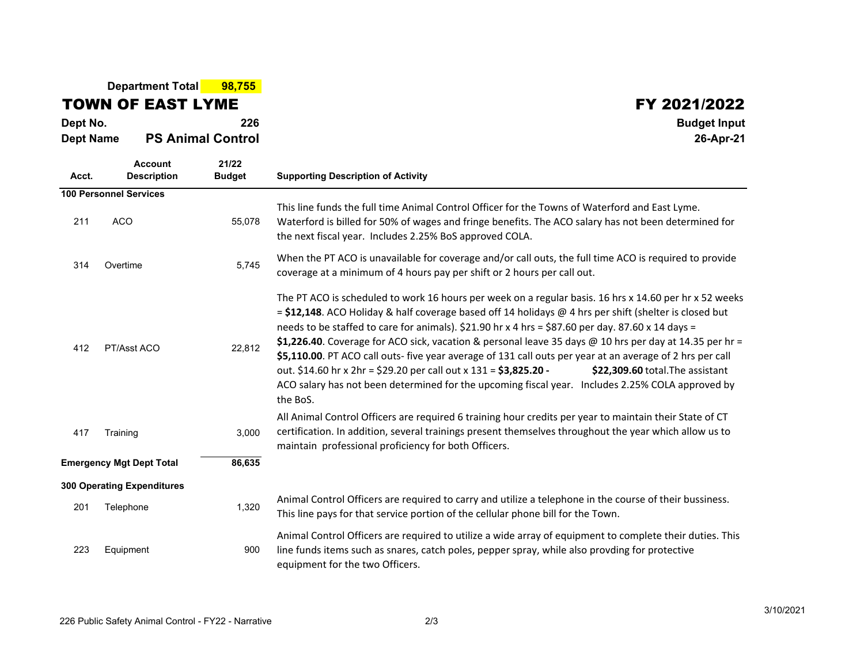**Department Total 98,755**

## TOWN OF EAST LYME

**Dept No. <sup>226</sup> Budget Input Dept NamePS Animal Control 26-Apr-21**

## $\begin{array}{@{}c@{\hspace{1cm}}c@{\hspace{1cm}}c@{\hspace{1cm}}c@{\hspace{1cm}}c@{\hspace{1cm}}c@{\hspace{1cm}}c@{\hspace{1cm}}c@{\hspace{1cm}}c@{\hspace{1cm}}c@{\hspace{1cm}}c@{\hspace{1cm}}c@{\hspace{1cm}}c@{\hspace{1cm}}c@{\hspace{1cm}}c@{\hspace{1cm}}c@{\hspace{1cm}}c@{\hspace{1cm}}c@{\hspace{1cm}}c@{\hspace{1cm}}c@{\hspace{1cm}}c@{\hspace{1cm}}c@{\hspace{1cm}}c@{\hspace{1cm}}c@{\hspace{$

| Acct. | <b>Account</b><br><b>Description</b> | 21/22<br><b>Budget</b> | <b>Supporting Description of Activity</b>                                                                                                                                                                                                                                                                                                                                                                                                                                                                                                                                                                                                                                                                                                                                     |  |
|-------|--------------------------------------|------------------------|-------------------------------------------------------------------------------------------------------------------------------------------------------------------------------------------------------------------------------------------------------------------------------------------------------------------------------------------------------------------------------------------------------------------------------------------------------------------------------------------------------------------------------------------------------------------------------------------------------------------------------------------------------------------------------------------------------------------------------------------------------------------------------|--|
|       | <b>100 Personnel Services</b>        |                        |                                                                                                                                                                                                                                                                                                                                                                                                                                                                                                                                                                                                                                                                                                                                                                               |  |
| 211   | <b>ACO</b>                           | 55,078                 | This line funds the full time Animal Control Officer for the Towns of Waterford and East Lyme.<br>Waterford is billed for 50% of wages and fringe benefits. The ACO salary has not been determined for<br>the next fiscal year. Includes 2.25% BoS approved COLA.                                                                                                                                                                                                                                                                                                                                                                                                                                                                                                             |  |
| 314   | Overtime                             | 5,745                  | When the PT ACO is unavailable for coverage and/or call outs, the full time ACO is required to provide<br>coverage at a minimum of 4 hours pay per shift or 2 hours per call out.                                                                                                                                                                                                                                                                                                                                                                                                                                                                                                                                                                                             |  |
| 412   | PT/Asst ACO                          | 22,812                 | The PT ACO is scheduled to work 16 hours per week on a regular basis. 16 hrs x 14.60 per hr x 52 weeks<br>= \$12,148. ACO Holiday & half coverage based off 14 holidays $\omega$ 4 hrs per shift (shelter is closed but<br>needs to be staffed to care for animals). \$21.90 hr x 4 hrs = \$87.60 per day. 87.60 x 14 days =<br>\$1,226.40. Coverage for ACO sick, vacation & personal leave 35 days @ 10 hrs per day at 14.35 per hr =<br>\$5,110.00. PT ACO call outs- five year average of 131 call outs per year at an average of 2 hrs per call<br>out. \$14.60 hr x 2hr = \$29.20 per call out x 131 = \$3,825.20 -<br>\$22,309.60 total. The assistant<br>ACO salary has not been determined for the upcoming fiscal year. Includes 2.25% COLA approved by<br>the BoS. |  |
| 417   | Training                             | 3,000                  | All Animal Control Officers are required 6 training hour credits per year to maintain their State of CT<br>certification. In addition, several trainings present themselves throughout the year which allow us to<br>maintain professional proficiency for both Officers.                                                                                                                                                                                                                                                                                                                                                                                                                                                                                                     |  |
|       | <b>Emergency Mgt Dept Total</b>      | 86,635                 |                                                                                                                                                                                                                                                                                                                                                                                                                                                                                                                                                                                                                                                                                                                                                                               |  |
|       | <b>300 Operating Expenditures</b>    |                        |                                                                                                                                                                                                                                                                                                                                                                                                                                                                                                                                                                                                                                                                                                                                                                               |  |
| 201   | Telephone                            | 1,320                  | Animal Control Officers are required to carry and utilize a telephone in the course of their bussiness.<br>This line pays for that service portion of the cellular phone bill for the Town.                                                                                                                                                                                                                                                                                                                                                                                                                                                                                                                                                                                   |  |
| 223   | Equipment                            | 900                    | Animal Control Officers are required to utilize a wide array of equipment to complete their duties. This<br>line funds items such as snares, catch poles, pepper spray, while also provding for protective<br>equipment for the two Officers.                                                                                                                                                                                                                                                                                                                                                                                                                                                                                                                                 |  |